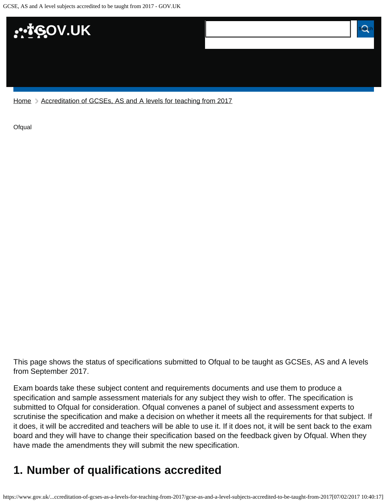

[Home](https://www.gov.uk/) > [Accreditation of GCSEs, AS and A levels for teaching from 2017](https://www.gov.uk/government/publications/accreditation-of-gcses-as-a-levels-for-teaching-from-2017)

**[Ofqual](https://www.gov.uk/government/organisations/ofqual)** 

This page shows the status of specifications submitted to Ofqual to be taught as GCSEs, AS and A levels from September 2017.

Exam boards take these subject content and requirements documents and use them to produce a specification and sample assessment materials for any subject they wish to offer. The specification is submitted to Ofqual for consideration. Ofqual convenes a panel of subject and assessment experts to scrutinise the specification and make a decision on whether it meets all the requirements for that subject. If it does, it will be accredited and teachers will be able to use it. If it does not, it will be sent back to the exam board and they will have to change their specification based on the feedback given by Ofqual. When they have made the amendments they will submit the new specification.

# <span id="page-0-0"></span>**1. Number of qualifications accredited**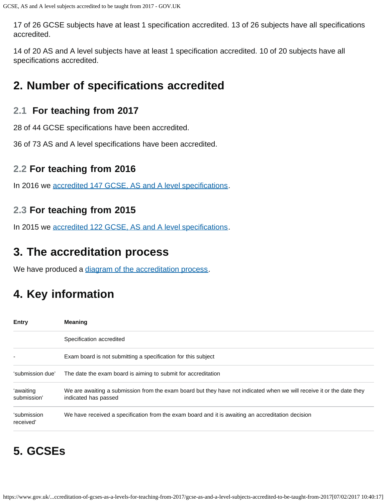17 of 26 GCSE subjects have at least 1 specification accredited. 13 of 26 subjects have all specifications accredited.

14 of 20 AS and A level subjects have at least 1 specification accredited. 10 of 20 subjects have all specifications accredited.

## <span id="page-1-0"></span>**2. Number of specifications accredited**

### **2.1 For teaching from 2017**

28 of 44 GCSE specifications have been accredited.

36 of 73 AS and A level specifications have been accredited.

### **2.2 For teaching from 2016**

In 2016 we [accredited 147 GCSE, AS and A level specifications.](https://www.gov.uk/government/publications/accreditation-of-gcses-as-a-levels-for-teaching-from-2016)

### **2.3 For teaching from 2015**

In 2015 we [accredited 122 GCSE, AS and A level specifications.](https://www.gov.uk/government/publications/new-gcses-as-and-a-levels-accredited-to-be-taught-from-2015)

## <span id="page-1-1"></span>**3. The accreditation process**

We have produced a [diagram of the accreditation process.](https://www.gov.uk/government/publications/your-qualification-our-regulation-gcse-as-and-a-level-reforms#attachment_1634078)

# <span id="page-1-2"></span>**4. Key information**

| <b>Entry</b>             | <b>Meaning</b>                                                                                                                                |
|--------------------------|-----------------------------------------------------------------------------------------------------------------------------------------------|
|                          | Specification accredited                                                                                                                      |
|                          | Exam board is not submitting a specification for this subject                                                                                 |
| 'submission due'         | The date the exam board is aiming to submit for accreditation                                                                                 |
| 'awaiting<br>submission' | We are awaiting a submission from the exam board but they have not indicated when we will receive it or the date they<br>indicated has passed |
| 'submission<br>received' | We have received a specification from the exam board and it is awaiting an accreditation decision                                             |

# <span id="page-1-3"></span>**5. GCSEs**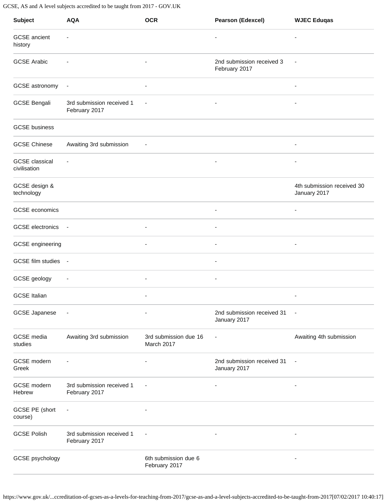| <b>Subject</b>                        | <b>AQA</b>                                 | <b>OCR</b>                            | <b>Pearson (Edexcel)</b>                   | <b>WJEC Eduqas</b>                         |
|---------------------------------------|--------------------------------------------|---------------------------------------|--------------------------------------------|--------------------------------------------|
| <b>GCSE</b> ancient<br>history        | $\overline{\phantom{a}}$                   |                                       | $\overline{\phantom{a}}$                   | $\overline{\phantom{a}}$                   |
| <b>GCSE Arabic</b>                    |                                            | $\overline{\phantom{a}}$              | 2nd submission received 3<br>February 2017 | $\overline{\phantom{a}}$                   |
| GCSE astronomy                        | $\overline{\phantom{a}}$                   | $\blacksquare$                        |                                            | ٠                                          |
| <b>GCSE Bengali</b>                   | 3rd submission received 1<br>February 2017 | $\overline{\phantom{a}}$              | $\overline{\phantom{a}}$                   | $\overline{\phantom{a}}$                   |
| <b>GCSE</b> business                  |                                            |                                       |                                            |                                            |
| <b>GCSE Chinese</b>                   | Awaiting 3rd submission                    | $\overline{\phantom{a}}$              |                                            | $\overline{\phantom{a}}$                   |
| <b>GCSE</b> classical<br>civilisation | $\overline{a}$                             |                                       | ٠                                          | $\blacksquare$                             |
| GCSE design &<br>technology           |                                            |                                       |                                            | 4th submission received 30<br>January 2017 |
| GCSE economics                        |                                            |                                       | $\overline{a}$                             | $\overline{\phantom{a}}$                   |
| <b>GCSE</b> electronics               | $\overline{\phantom{a}}$                   | $\overline{\phantom{a}}$              | ٠                                          |                                            |
| GCSE engineering                      |                                            | $\overline{\phantom{a}}$              | $\overline{\phantom{a}}$                   | $\overline{\phantom{a}}$                   |
| GCSE film studies -                   |                                            |                                       |                                            |                                            |
| GCSE geology                          | $\overline{\phantom{a}}$                   | $\overline{\phantom{a}}$              | $\overline{\phantom{a}}$                   |                                            |
| <b>GCSE Italian</b>                   |                                            |                                       |                                            |                                            |
| <b>GCSE Japanese</b>                  | $\overline{\phantom{a}}$                   |                                       | 2nd submission received 31<br>January 2017 | $\overline{\phantom{a}}$                   |
| GCSE media<br>studies                 | Awaiting 3rd submission                    | 3rd submission due 16<br>March 2017   | $\overline{a}$                             | Awaiting 4th submission                    |
| GCSE modern<br>Greek                  | ٠                                          | $\overline{\phantom{a}}$              | 2nd submission received 31<br>January 2017 | $\overline{\phantom{a}}$                   |
| GCSE modern<br>Hebrew                 | 3rd submission received 1<br>February 2017 | $\overline{\phantom{a}}$              | $\overline{\phantom{a}}$                   | $\overline{\phantom{a}}$                   |
| GCSE PE (short<br>course)             | $\overline{\phantom{a}}$                   |                                       |                                            |                                            |
| <b>GCSE Polish</b>                    | 3rd submission received 1<br>February 2017 | $\overline{\phantom{a}}$              | $\overline{\phantom{a}}$                   | $\qquad \qquad \blacksquare$               |
| GCSE psychology                       |                                            | 6th submission due 6<br>February 2017 |                                            | ٠                                          |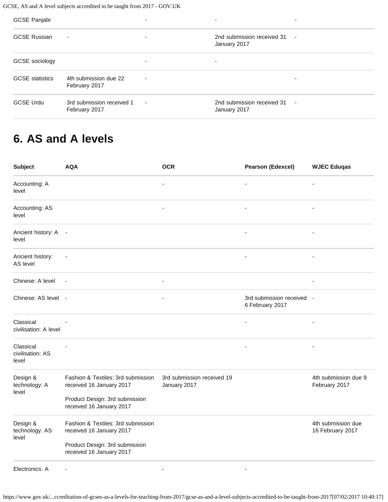| <b>GCSE Panjabi</b>    |                                            | $\overline{\phantom{0}}$ |                                            | ٠                        |
|------------------------|--------------------------------------------|--------------------------|--------------------------------------------|--------------------------|
| <b>GCSE Russian</b>    | $\overline{\phantom{a}}$                   | $\overline{\phantom{a}}$ | 2nd submission received 31<br>January 2017 | $\overline{\phantom{a}}$ |
| GCSE sociology         |                                            | $\overline{\phantom{0}}$ |                                            |                          |
| <b>GCSE</b> statistics | 4th submission due 22<br>February 2017     | $\overline{\phantom{a}}$ |                                            | ۰                        |
| <b>GCSE Urdu</b>       | 3rd submission received 1<br>February 2017 | $\overline{\phantom{a}}$ | 2nd submission received 31<br>January 2017 | $\overline{\phantom{a}}$ |

## <span id="page-3-0"></span>**6. AS and A levels**

| <b>Subject</b>                         | <b>AQA</b>                                                     | <b>OCR</b>                                 | <b>Pearson (Edexcel)</b>                     | <b>WJEC Eduqas</b>                     |
|----------------------------------------|----------------------------------------------------------------|--------------------------------------------|----------------------------------------------|----------------------------------------|
| Accounting: A<br>level                 |                                                                |                                            |                                              | $\overline{a}$                         |
| Accounting: AS<br>level                |                                                                | $\overline{a}$                             | $\overline{\phantom{a}}$                     |                                        |
| Ancient history: A -<br>level          |                                                                |                                            |                                              |                                        |
| Ancient history:<br>AS level           | $\overline{\phantom{a}}$                                       |                                            |                                              |                                        |
| Chinese: A level                       | $\overline{\phantom{a}}$                                       | $\blacksquare$                             |                                              | ٠                                      |
| Chinese: AS level -                    |                                                                |                                            | 3rd submission received -<br>6 February 2017 |                                        |
| Classical<br>civilisation: A level     |                                                                |                                            |                                              |                                        |
| Classical<br>civilisation: AS<br>level |                                                                |                                            | ä,                                           | $\blacksquare$                         |
| Design &<br>technology: A<br>level     | Fashion & Textiles: 3rd submission<br>received 16 January 2017 | 3rd submission received 19<br>January 2017 |                                              | 4th submission due 9<br>February 2017  |
|                                        | Product Design: 3rd submission<br>received 16 January 2017     |                                            |                                              |                                        |
| Design &<br>technology: AS<br>level    | Fashion & Textiles: 3rd submission<br>received 16 January 2017 |                                            |                                              | 4th submission due<br>16 February 2017 |
|                                        | Product Design: 3rd submission<br>received 16 January 2017     |                                            |                                              |                                        |
| Electronics: A                         | $\overline{a}$                                                 |                                            |                                              |                                        |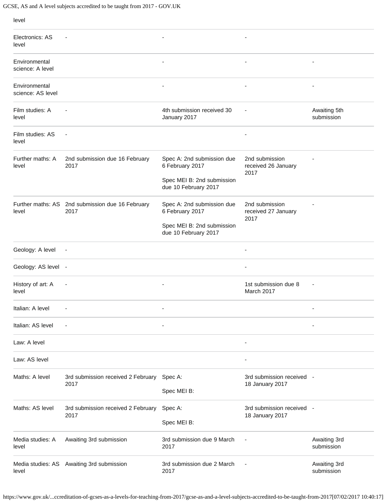| level                              |                                                          |                                                                             |                                               |                            |
|------------------------------------|----------------------------------------------------------|-----------------------------------------------------------------------------|-----------------------------------------------|----------------------------|
| Electronics: AS<br>level           | $\overline{\phantom{a}}$                                 | $\overline{a}$                                                              | $\overline{\phantom{a}}$                      |                            |
| Environmental<br>science: A level  |                                                          |                                                                             | ٠                                             |                            |
| Environmental<br>science: AS level |                                                          | ٠                                                                           | $\overline{\phantom{a}}$                      | ٠                          |
| Film studies: A<br>level           |                                                          | 4th submission received 30<br>January 2017                                  |                                               | Awaiting 5th<br>submission |
| Film studies: AS<br>level          | $\blacksquare$                                           |                                                                             |                                               |                            |
| Further maths: A<br>level          | 2nd submission due 16 February<br>2017                   | Spec A: 2nd submission due<br>6 February 2017<br>Spec MEI B: 2nd submission | 2nd submission<br>received 26 January<br>2017 |                            |
|                                    |                                                          | due 10 February 2017                                                        |                                               |                            |
| level                              | Further maths: AS 2nd submission due 16 February<br>2017 | Spec A: 2nd submission due<br>6 February 2017                               | 2nd submission<br>received 27 January<br>2017 |                            |
|                                    |                                                          | Spec MEI B: 2nd submission<br>due 10 February 2017                          |                                               |                            |
| Geology: A level                   | $\overline{\phantom{a}}$                                 |                                                                             | $\overline{\phantom{a}}$                      |                            |
| Geology: AS level -                |                                                          |                                                                             | $\overline{\phantom{a}}$                      |                            |
| History of art: A<br>level         | $\overline{\phantom{a}}$                                 | $\overline{\phantom{a}}$                                                    | 1st submission due 8<br>March 2017            |                            |
| Italian: A level                   |                                                          |                                                                             |                                               |                            |
| Italian: AS level                  | $\overline{\phantom{a}}$                                 | ٠                                                                           |                                               |                            |
| Law: A level                       |                                                          |                                                                             | $\overline{\phantom{a}}$                      |                            |
| Law: AS level                      |                                                          |                                                                             |                                               |                            |
| Maths: A level                     | 3rd submission received 2 February<br>2017               | Spec A:                                                                     | 3rd submission received -<br>18 January 2017  |                            |
|                                    |                                                          | Spec MEI B:                                                                 |                                               |                            |
| Maths: AS level                    | 3rd submission received 2 February<br>2017               | Spec A:                                                                     | 3rd submission received -                     |                            |
|                                    |                                                          | Spec MEI B:                                                                 | 18 January 2017                               |                            |
| Media studies: A<br>level          | Awaiting 3rd submission                                  | 3rd submission due 9 March<br>2017                                          |                                               | Awaiting 3rd<br>submission |
| level                              | Media studies: AS Awaiting 3rd submission                | 3rd submission due 2 March<br>2017                                          |                                               | Awaiting 3rd<br>submission |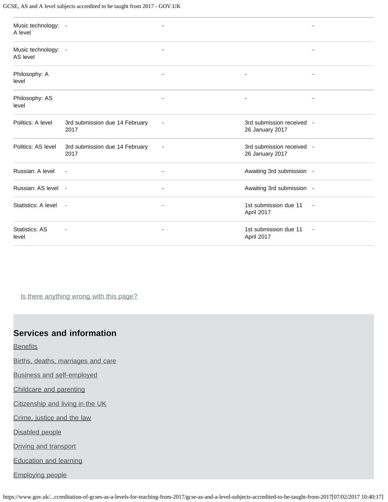| Music technology: -<br>A level  |                                        | ٠                        |                                              |                          |
|---------------------------------|----------------------------------------|--------------------------|----------------------------------------------|--------------------------|
| Music technology: -<br>AS level |                                        | ٠                        |                                              |                          |
| Philosophy: A<br>level          |                                        |                          |                                              |                          |
| Philosophy: AS<br>level         |                                        |                          | ٠                                            |                          |
| Politics: A level               | 3rd submission due 14 February<br>2017 | $\overline{a}$           | 3rd submission received -<br>26 January 2017 |                          |
| Politics: AS level              | 3rd submission due 14 February<br>2017 | $\overline{\phantom{a}}$ | 3rd submission received -<br>26 January 2017 |                          |
| Russian: A level                | $\blacksquare$                         | ÷,                       | Awaiting 3rd submission -                    |                          |
| Russian: AS level -             |                                        | $\overline{\phantom{a}}$ | Awaiting 3rd submission -                    |                          |
| Statistics: A level             | $\overline{\phantom{a}}$               | ٠                        | 1st submission due 11<br>April 2017          | $\sim$                   |
| Statistics: AS<br>level         |                                        | ٠                        | 1st submission due 11<br>April 2017          | $\overline{\phantom{a}}$ |

Is there anything wrong with this page?

#### **Services and information**

**[Benefits](https://www.gov.uk/browse/benefits)** 

[Births, deaths, marriages and care](https://www.gov.uk/browse/births-deaths-marriages)

[Business and self-employed](https://www.gov.uk/browse/business)

[Childcare and parenting](https://www.gov.uk/browse/childcare-parenting)

[Citizenship and living in the UK](https://www.gov.uk/browse/citizenship)

[Crime, justice and the law](https://www.gov.uk/browse/justice)

[Disabled people](https://www.gov.uk/browse/disabilities)

[Driving and transport](https://www.gov.uk/browse/driving)

[Education and learning](https://www.gov.uk/browse/education)

[Employing people](https://www.gov.uk/browse/employing-people)